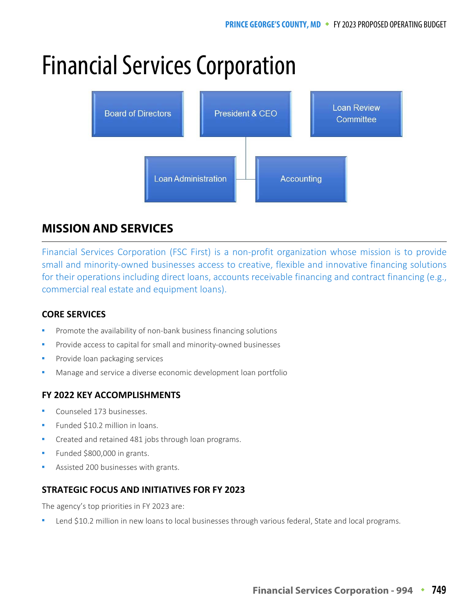# Financial Services Corporation



# **MISSION AND SERVICES**

Financial Services Corporation (FSC First) is a non-profit organization whose mission is to provide small and minority-owned businesses access to creative, flexible and innovative financing solutions for their operations including direct loans, accounts receivable financing and contract financing (e.g., commercial real estate and equipment loans).

## **CORE SERVICES**

- Promote the availability of non-bank business financing solutions
- Provide access to capital for small and minority-owned businesses
- Provide loan packaging services
- Manage and service a diverse economic development loan portfolio

## **FY 2022 KEY ACCOMPLISHMENTS**

- Counseled 173 businesses.
- Funded \$10.2 million in loans.
- Created and retained 481 jobs through loan programs.
- Funded \$800,000 in grants.
- Assisted 200 businesses with grants.

#### **STRATEGIC FOCUS AND INITIATIVES FOR FY 2023**

The agency's top priorities in FY 2023 are:

Lend \$10.2 million in new loans to local businesses through various federal, State and local programs.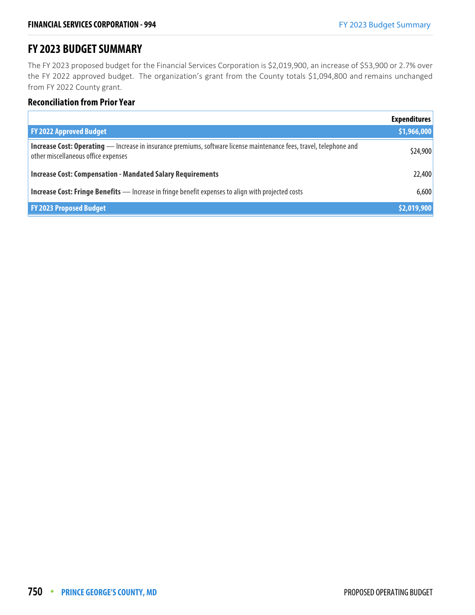## **FY 2023 BUDGET SUMMARY**

The FY 2023 proposed budget for the Financial Services Corporation is \$2,019,900, an increase of \$53,900 or 2.7% over the FY 2022 approved budget. The organization's grant from the County totals \$1,094,800 and remains unchanged from FY 2022 County grant.

#### **Reconciliation from Prior Year**

|                                                                                                                                                                   | <b>Expenditures</b> |
|-------------------------------------------------------------------------------------------------------------------------------------------------------------------|---------------------|
| <b>FY 2022 Approved Budget</b>                                                                                                                                    | \$1,966,000         |
| <b>Increase Cost: Operating</b> — Increase in insurance premiums, software license maintenance fees, travel, telephone and<br>other miscellaneous office expenses | \$24,900            |
| <b>Increase Cost: Compensation - Mandated Salary Requirements</b>                                                                                                 | 22,400              |
| <b>Increase Cost: Fringe Benefits</b> - Increase in fringe benefit expenses to align with projected costs                                                         | 6,600               |
| <b>FY 2023 Proposed Budget</b>                                                                                                                                    | \$2,019,900         |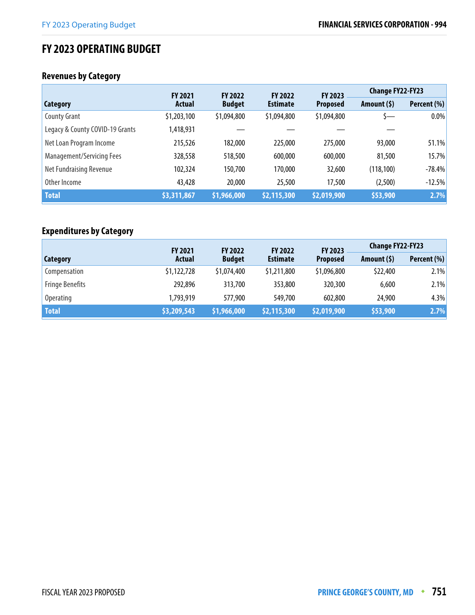# **FY 2023 OPERATING BUDGET**

# **Revenues by Category**

|                                  | <b>FY 2021</b> | <b>FY 2022</b> | <b>FY 2022</b>  | FY 2023         | <b>Change FY22-FY23</b> |             |
|----------------------------------|----------------|----------------|-----------------|-----------------|-------------------------|-------------|
| <b>Category</b>                  | <b>Actual</b>  | <b>Budget</b>  | <b>Estimate</b> | <b>Proposed</b> | Amount $(5)$            | Percent (%) |
| <b>County Grant</b>              | \$1,203,100    | \$1,094,800    | \$1,094,800     | \$1,094,800     | s—                      | $0.0\%$     |
| Legacy & County COVID-19 Grants  | 1,418,931      |                |                 |                 |                         |             |
| Net Loan Program Income          | 215,526        | 182,000        | 225,000         | 275,000         | 93,000                  | 51.1%       |
| <b>Management/Servicing Fees</b> | 328,558        | 518,500        | 600,000         | 600,000         | 81,500                  | 15.7%       |
| Net Fundraising Revenue          | 102,324        | 150,700        | 170,000         | 32,600          | (118, 100)              | $-78.4%$    |
| Other Income                     | 43,428         | 20,000         | 25,500          | 17,500          | (2,500)                 | $-12.5%$    |
| <b>Total</b>                     | \$3,311,867    | \$1,966,000    | \$2,115,300     | \$2,019,900     | \$53,900                | 2.7%        |

# **Expenditures by Category**

|                        | <b>FY 2021</b> | <b>FY 2022</b> | <b>FY 2022</b>  | <b>FY 2023</b>  |              | <b>Change FY22-FY23</b> |  |
|------------------------|----------------|----------------|-----------------|-----------------|--------------|-------------------------|--|
| Category               | <b>Actual</b>  | <b>Budget</b>  | <b>Estimate</b> | <b>Proposed</b> | Amount $(5)$ | Percent (%)             |  |
| Compensation           | \$1,122,728    | \$1,074,400    | \$1,211,800     | \$1,096,800     | \$22,400     | 2.1%                    |  |
| <b>Fringe Benefits</b> | 292,896        | 313,700        | 353,800         | 320,300         | 6,600        | 2.1%                    |  |
| Operating              | 1,793,919      | 577,900        | 549,700         | 602,800         | 24,900       | 4.3%                    |  |
| <b>Total</b>           | \$3,209,543    | \$1,966,000    | \$2,115,300     | \$2,019,900     | \$53,900     | 2.7%                    |  |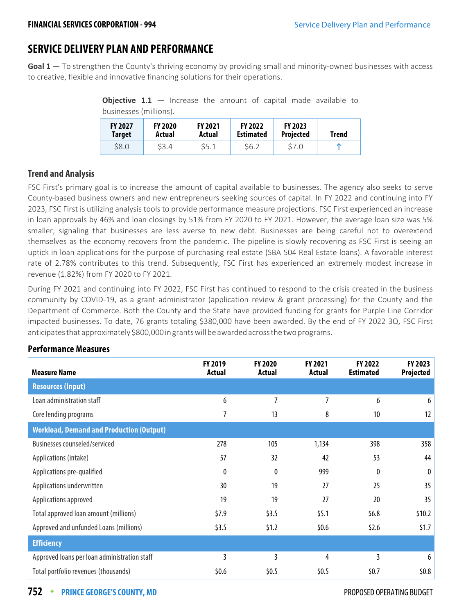# **SERVICE DELIVERY PLAN AND PERFORMANCE**

**Goal 1** — To strengthen the County's thriving economy by providing small and minority-owned businesses with access to creative, flexible and innovative financing solutions for their operations.

> **Objective 1.1** – Increase the amount of capital made available to businesses (millions).

| <b>FY 2027</b><br>Target | <b>FY 2020</b><br>Actual | <b>FY 2021</b><br>Actual | <b>FY 2022</b><br><b>Estimated</b> | <b>FY 2023</b><br><b>Projected</b> | <b>Trend</b> |
|--------------------------|--------------------------|--------------------------|------------------------------------|------------------------------------|--------------|
| \$8.0                    | S3.4                     | S5.1                     | S6.2                               | \$7.0                              | m            |

## **Trend and Analysis**

FSC First's primary goal is to increase the amount of capital available to businesses. The agency also seeks to serve County-based business owners and new entrepreneurs seeking sources of capital. In FY 2022 and continuing into FY 2023, FSC First is utilizing analysis tools to provide performance measure projections. FSC First experienced an increase in loan approvals by 46% and loan closings by 51% from FY 2020 to FY 2021. However, the average loan size was 5% smaller, signaling that businesses are less averse to new debt. Businesses are being careful not to overextend themselves as the economy recovers from the pandemic. The pipeline is slowly recovering as FSC First is seeing an uptick in loan applications for the purpose of purchasing real estate (SBA 504 Real Estate loans). A favorable interest rate of 2.78% contributes to this trend. Subsequently, FSC First has experienced an extremely modest increase in revenue (1.82%) from FY 2020 to FY 2021.

During FY 2021 and continuing into FY 2022, FSC First has continued to respond to the crisis created in the business community by COVID-19, as a grant administrator (application review & grant processing) for the County and the Department of Commerce. Both the County and the State have provided funding for grants for Purple Line Corridor impacted businesses. To date, 76 grants totaling \$380,000 have been awarded. By the end of FY 2022 3Q, FSC First anticipates that approximately \$800,000 in grants will be awarded across the two programs.

| <b>Measure Name</b>                             | <b>FY 2019</b><br><b>Actual</b> | <b>FY 2020</b><br><b>Actual</b> | <b>FY 2021</b><br><b>Actual</b> | <b>FY 2022</b><br><b>Estimated</b> | FY 2023<br>Projected |
|-------------------------------------------------|---------------------------------|---------------------------------|---------------------------------|------------------------------------|----------------------|
| <b>Resources (Input)</b>                        |                                 |                                 |                                 |                                    |                      |
| Loan administration staff                       | 6                               | 7                               | 7                               | 6                                  | 6                    |
| Core lending programs                           | 7                               | 13                              | 8                               | 10                                 | 12                   |
| <b>Workload, Demand and Production (Output)</b> |                                 |                                 |                                 |                                    |                      |
| Businesses counseled/serviced                   | 278                             | 105                             | 1,134                           | 398                                | 358                  |
| Applications (intake)                           | 57                              | 32                              | 42                              | 53                                 | 44                   |
| Applications pre-qualified                      | 0                               | $\theta$                        | 999                             | $\boldsymbol{0}$                   | 0                    |
| Applications underwritten                       | 30                              | 19                              | 27                              | 25                                 | 35                   |
| Applications approved                           | 19                              | 19                              | 27                              | 20                                 | 35                   |
| Total approved loan amount (millions)           | \$7.9                           | \$3.5                           | \$5.1                           | \$6.8\$                            | \$10.2\$             |
| Approved and unfunded Loans (millions)          | \$3.5                           | \$1.2                           | \$0.6\$                         | \$2.6                              | \$1.7                |
| <b>Efficiency</b>                               |                                 |                                 |                                 |                                    |                      |
| Approved loans per loan administration staff    | 3                               | 3                               | 4                               | 3                                  | 6                    |
| Total portfolio revenues (thousands)            | \$0.6                           | \$0.5                           | \$0.5                           | \$0.7                              | \$0.8\$              |

## **Performance Measures**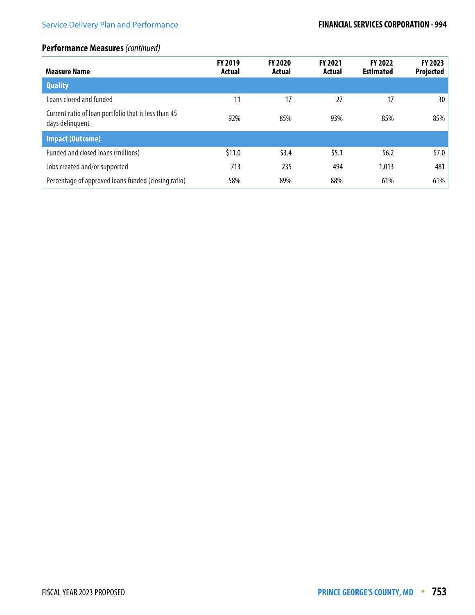## **Performance Measures** (continued)

| <b>Measure Name</b>                                                     | FY 2019<br>Actual | <b>FY 2020</b><br>Actual | FY 2021<br>Actual | <b>FY 2022</b><br><b>Estimated</b> | FY 2023<br><b>Projected</b> |
|-------------------------------------------------------------------------|-------------------|--------------------------|-------------------|------------------------------------|-----------------------------|
| <b>Quality</b>                                                          |                   |                          |                   |                                    |                             |
| Loans closed and funded                                                 | 11                | 17                       | 27                | 17                                 | 30                          |
| Current ratio of loan portfolio that is less than 45<br>days delinquent | 92%               | 85%                      | 93%               | 85%                                | 85%                         |
| <b>Impact (Outcome)</b>                                                 |                   |                          |                   |                                    |                             |
| Funded and closed loans (millions)                                      | \$11.0            | \$3.4                    | \$5.1             | \$6.2\$                            | \$7.0\$                     |
| Jobs created and/or supported                                           | 713               | 235                      | 494               | 1,013                              | 481                         |
| Percentage of approved loans funded (closing ratio)                     | 58%               | 89%                      | 88%               | 61%                                | 61%                         |